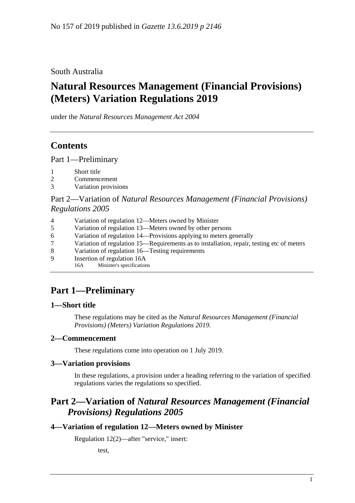South Australia

# **Natural Resources Management (Financial Provisions) (Meters) Variation Regulations 2019**

under the *Natural Resources Management Act 2004*

# **Contents**

Part [1—Preliminary](#page-0-0)

- 1 [Short title](#page-0-1)
- 2 [Commencement](#page-0-2)
- 3 [Variation provisions](#page-0-3)

## Part 2—Variation of *[Natural Resources Management \(Financial Provisions\)](#page-0-4)  [Regulations](#page-0-4) 2005*

- 4 [Variation of regulation 12—Meters owned by Minister](#page-0-5)
- 5 [Variation of regulation 13—Meters owned by other persons](#page-1-0)
- 6 [Variation of regulation 14—Provisions applying to meters generally](#page-1-1)
- 7 [Variation of regulation 15—Requirements as to installation, repair, testing etc of meters](#page-1-2)
- 8 [Variation of regulation 16—Testing requirements](#page-1-3)
- 9 [Insertion of regulation 16A](#page-2-0)<br>16A Minister's specification
	- Minister's specifications

# <span id="page-0-0"></span>**Part 1—Preliminary**

## <span id="page-0-1"></span>**1—Short title**

These regulations may be cited as the *Natural Resources Management (Financial Provisions) (Meters) Variation Regulations 2019*.

## <span id="page-0-2"></span>**2—Commencement**

These regulations come into operation on 1 July 2019.

## <span id="page-0-3"></span>**3—Variation provisions**

In these regulations, a provision under a heading referring to the variation of specified regulations varies the regulations so specified.

## <span id="page-0-4"></span>**Part 2—Variation of** *Natural Resources Management (Financial Provisions) Regulations 2005*

## <span id="page-0-5"></span>**4—Variation of regulation 12—Meters owned by Minister**

Regulation 12(2)—after "service," insert:

test,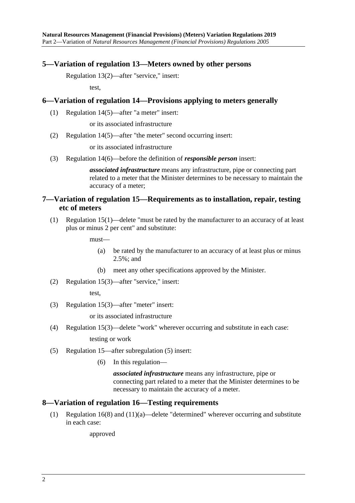### <span id="page-1-0"></span>**5—Variation of regulation 13—Meters owned by other persons**

Regulation 13(2)—after "service," insert:

test,

#### <span id="page-1-1"></span>**6—Variation of regulation 14—Provisions applying to meters generally**

(1) Regulation 14(5)—after "a meter" insert:

or its associated infrastructure

(2) Regulation 14(5)—after "the meter" second occurring insert:

or its associated infrastructure

(3) Regulation 14(6)—before the definition of *responsible person* insert:

*associated infrastructure* means any infrastructure, pipe or connecting part related to a meter that the Minister determines to be necessary to maintain the accuracy of a meter;

### <span id="page-1-2"></span>**7—Variation of regulation 15—Requirements as to installation, repair, testing etc of meters**

(1) Regulation 15(1)—delete "must be rated by the manufacturer to an accuracy of at least plus or minus 2 per cent" and substitute:

must—

- (a) be rated by the manufacturer to an accuracy of at least plus or minus 2.5%; and
- (b) meet any other specifications approved by the Minister.
- (2) Regulation 15(3)—after "service," insert:

test,

(3) Regulation 15(3)—after "meter" insert:

or its associated infrastructure

(4) Regulation 15(3)—delete "work" wherever occurring and substitute in each case:

testing or work

- (5) Regulation 15—after subregulation (5) insert:
	- (6) In this regulation—

*associated infrastructure* means any infrastructure, pipe or connecting part related to a meter that the Minister determines to be necessary to maintain the accuracy of a meter.

#### <span id="page-1-3"></span>**8—Variation of regulation 16—Testing requirements**

(1) Regulation 16(8) and (11)(a)—delete "determined" wherever occurring and substitute in each case:

approved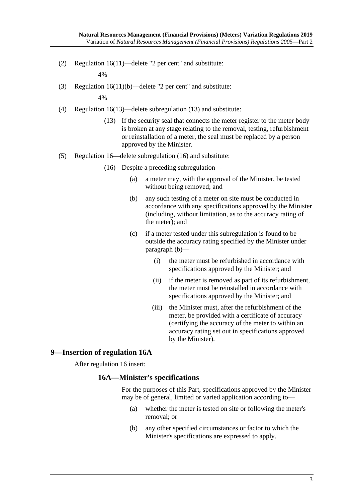(2) Regulation 16(11)—delete "2 per cent" and substitute:

4%

(3) Regulation 16(11)(b)—delete "2 per cent" and substitute:

4%

- (4) Regulation 16(13)—delete subregulation (13) and substitute:
	- (13) If the security seal that connects the meter register to the meter body is broken at any stage relating to the removal, testing, refurbishment or reinstallation of a meter, the seal must be replaced by a person approved by the Minister.
- <span id="page-2-1"></span>(5) Regulation 16—delete subregulation (16) and substitute:
	- (16) Despite a preceding subregulation—
		- (a) a meter may, with the approval of the Minister, be tested without being removed; and
		- (b) any such testing of a meter on site must be conducted in accordance with any specifications approved by the Minister (including, without limitation, as to the accuracy rating of the meter); and
		- (c) if a meter tested under this subregulation is found to be outside the accuracy rating specified by the Minister under [paragraph](#page-2-1) (b)—
			- (i) the meter must be refurbished in accordance with specifications approved by the Minister; and
			- (ii) if the meter is removed as part of its refurbishment, the meter must be reinstalled in accordance with specifications approved by the Minister; and
			- (iii) the Minister must, after the refurbishment of the meter, be provided with a certificate of accuracy (certifying the accuracy of the meter to within an accuracy rating set out in specifications approved by the Minister).

### <span id="page-2-0"></span>**9—Insertion of regulation 16A**

After regulation 16 insert:

#### **16A—Minister's specifications**

For the purposes of this Part, specifications approved by the Minister may be of general, limited or varied application according to—

- (a) whether the meter is tested on site or following the meter's removal; or
- (b) any other specified circumstances or factor to which the Minister's specifications are expressed to apply.